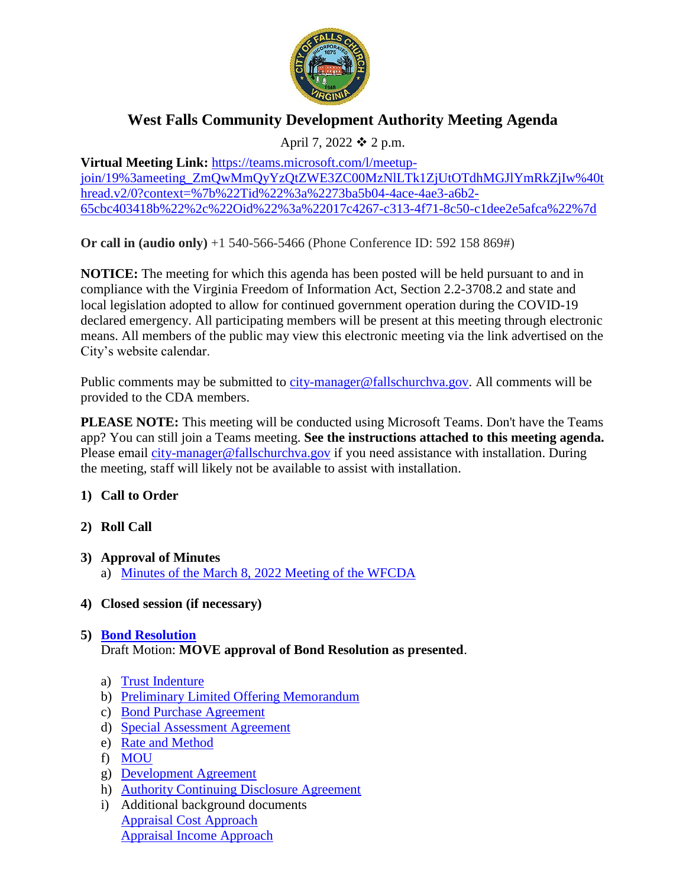

# **West Falls Community Development Authority Meeting Agenda**

April 7, 2022  $\div$  2 p.m.

**Virtual Meeting Link:** [https://teams.microsoft.com/l/meetup](https://teams.microsoft.com/l/meetup-join/19%3ameeting_ZmQwMmQyYzQtZWE3ZC00MzNlLTk1ZjUtOTdhMGJlYmRkZjIw%40thread.v2/0?context=%7b%22Tid%22%3a%2273ba5b04-4ace-4ae3-a6b2-65cbc403418b%22%2c%22Oid%22%3a%22017c4267-c313-4f71-8c50-c1dee2e5afca%22%7d)[join/19%3ameeting\\_ZmQwMmQyYzQtZWE3ZC00MzNlLTk1ZjUtOTdhMGJlYmRkZjIw%40t](https://teams.microsoft.com/l/meetup-join/19%3ameeting_ZmQwMmQyYzQtZWE3ZC00MzNlLTk1ZjUtOTdhMGJlYmRkZjIw%40thread.v2/0?context=%7b%22Tid%22%3a%2273ba5b04-4ace-4ae3-a6b2-65cbc403418b%22%2c%22Oid%22%3a%22017c4267-c313-4f71-8c50-c1dee2e5afca%22%7d) [hread.v2/0?context=%7b%22Tid%22%3a%2273ba5b04-4ace-4ae3-a6b2-](https://teams.microsoft.com/l/meetup-join/19%3ameeting_ZmQwMmQyYzQtZWE3ZC00MzNlLTk1ZjUtOTdhMGJlYmRkZjIw%40thread.v2/0?context=%7b%22Tid%22%3a%2273ba5b04-4ace-4ae3-a6b2-65cbc403418b%22%2c%22Oid%22%3a%22017c4267-c313-4f71-8c50-c1dee2e5afca%22%7d) [65cbc403418b%22%2c%22Oid%22%3a%22017c4267-c313-4f71-8c50-c1dee2e5afca%22%7d](https://teams.microsoft.com/l/meetup-join/19%3ameeting_ZmQwMmQyYzQtZWE3ZC00MzNlLTk1ZjUtOTdhMGJlYmRkZjIw%40thread.v2/0?context=%7b%22Tid%22%3a%2273ba5b04-4ace-4ae3-a6b2-65cbc403418b%22%2c%22Oid%22%3a%22017c4267-c313-4f71-8c50-c1dee2e5afca%22%7d)

**Or call in (audio only)** +1 540-566-5466 (Phone Conference ID: 592 158 869#)

**NOTICE:** The meeting for which this agenda has been posted will be held pursuant to and in compliance with the Virginia Freedom of Information Act, Section 2.2-3708.2 and state and local legislation adopted to allow for continued government operation during the COVID-19 declared emergency. All participating members will be present at this meeting through electronic means. All members of the public may view this electronic meeting via the link advertised on the City's website calendar.

Public comments may be submitted to [city-manager@fallschurchva.gov.](mailto:city-manager@fallschurchva.gov) All comments will be provided to the CDA members.

**PLEASE NOTE:** This meeting will be conducted using Microsoft Teams. Don't have the Teams app? You can still join a Teams meeting. **See the instructions attached to this meeting agenda.**  Please email [city-manager@fallschurchva.gov](mailto:city-manager@fallschurchva.gov) if you need assistance with installation. During the meeting, staff will likely not be available to assist with installation.

- **1) Call to Order**
- **2) Roll Call**
- **3) Approval of Minutes** 
	- a) [Minutes of the March 8, 2022 Meeting of the WFCDA](https://www.fallschurchva.gov/DocumentCenter/View/16069/03a-03-08-22-Minutes-DRAFT)
- **4) Closed session (if necessary)**

# **5) [Bond Resolution](https://www.fallschurchva.gov/DocumentCenter/View/16070/05-CDA-Bond-Resolution)**

Draft Motion: **MOVE approval of Bond Resolution as presented**.

- a) [Trust Indenture](https://www.fallschurchva.gov/DocumentCenter/View/16071/05a-Trust-Indenture)
- b) [Preliminary Limited Offering Memorandum](https://www.fallschurchva.gov/DocumentCenter/View/16072/05b-Prreliminary-Limited-Offering-Memorandum)
- c) [Bond Purchase Agreement](https://www.fallschurchva.gov/DocumentCenter/View/16073/05c-Bond-Purchase-Agreement)
- d) [Special Assessment Agreement](https://www.fallschurchva.gov/DocumentCenter/View/16064/05d-Special-Assessment-Agreement)
- e) [Rate and Method](https://www.fallschurchva.gov/DocumentCenter/View/16065/05e-Rate-and-Method-32422)
- f) [MOU](https://www.fallschurchva.gov/DocumentCenter/View/16066/05f-MOU)
- g) [Development Agreement](https://www.fallschurchva.gov/DocumentCenter/View/16067/05g-Development-Agreement)
- h) [Authority Continuing Disclosure Agreement](https://www.fallschurchva.gov/DocumentCenter/View/16068/05h-Authority-Continuing-Disclosure-Agreement)
- i) Additional background documents [Appraisal Cost](https://www.fallschurchva.gov/DocumentCenter/View/16082/05i-1-Appraisal-Cost-Approach-4-4-22) Approach [Appraisal Income Approach](https://www.fallschurchva.gov/DocumentCenter/View/16083/05i-2-Appraisal-Income-Approach-4-5-22)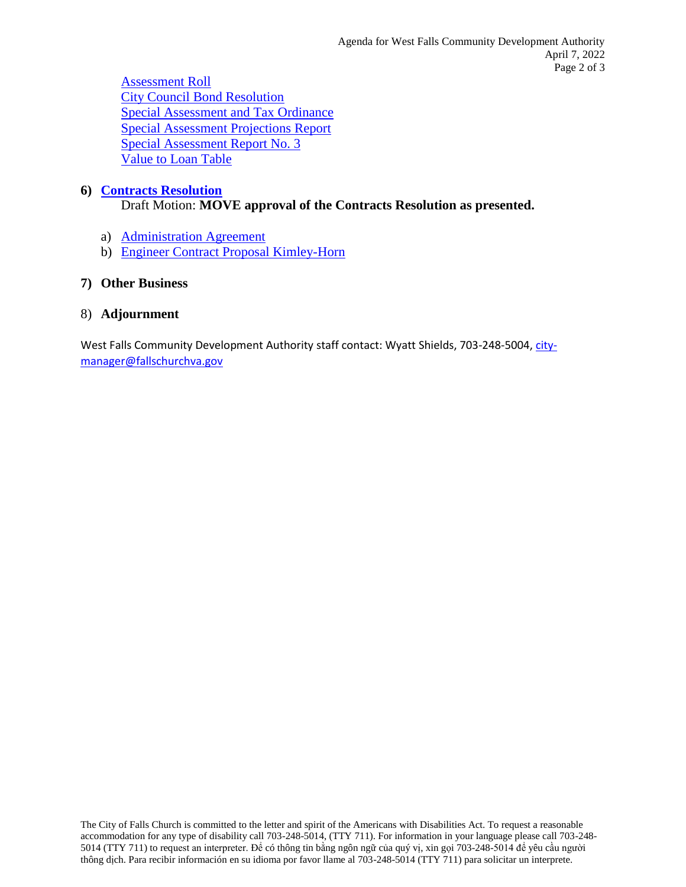[Assessment Roll](https://www.fallschurchva.gov/DocumentCenter/View/16084/05i-3-Assessment-Roll-32422) [City Council Bond Resolution](https://www.fallschurchva.gov/DocumentCenter/View/16077/05i-4-City-Council-Bond-Resolution) [Special Assessment and Tax Ordinance](https://www.fallschurchva.gov/DocumentCenter/View/16078/05i-6-Special-Assessment-and-Tax-Ordinance) [Special Assessment Projections Report](https://www.fallschurchva.gov/DocumentCenter/View/16079/05i-7-Special-Assessment-Projections-Report-04-04-2022) [Special Assessment Report No. 3](https://www.fallschurchva.gov/DocumentCenter/View/16080/05i-8-Special-Assessment-Report-No-3-32422) [Value to Loan Table](https://www.fallschurchva.gov/DocumentCenter/View/16081/05i-9-Value-to-Loan-Table)

## **6) [Contracts Resolution](https://www.fallschurchva.gov/DocumentCenter/View/16076/06-Resolution-on-Contracts)**

Draft Motion: **MOVE approval of the Contracts Resolution as presented.**

- a) [Administration Agreement](https://www.fallschurchva.gov/DocumentCenter/View/16074/06a-Administrators-Agreement-33022)
- b) [Engineer Contract Proposal Kimley-Horn](https://www.fallschurchva.gov/DocumentCenter/View/16075/06b-Engineer-Contract-Proposal-Kimley-Horn-04-04-2022)

## **7) Other Business**

## 8) **Adjournment**

West Falls Community Development Authority staff contact: Wyatt Shields, 703-248-5004, [city](mailto:city-manager@fallschurchva.gov)[manager@fallschurchva.gov](mailto:city-manager@fallschurchva.gov)